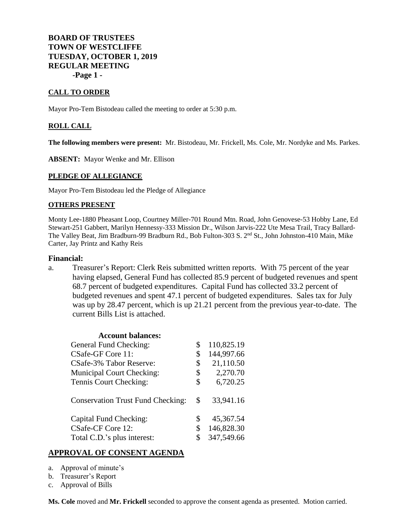# **BOARD OF TRUSTEES TOWN OF WESTCLIFFE TUESDAY, OCTOBER 1, 2019 REGULAR MEETING -Page 1 -**

## **CALL TO ORDER**

Mayor Pro-Tem Bistodeau called the meeting to order at 5:30 p.m.

## **ROLL CALL**

**The following members were present:** Mr. Bistodeau, Mr. Frickell, Ms. Cole, Mr. Nordyke and Ms. Parkes.

**ABSENT:** Mayor Wenke and Mr. Ellison

#### **PLEDGE OF ALLEGIANCE**

Mayor Pro-Tem Bistodeau led the Pledge of Allegiance

#### **OTHERS PRESENT**

Monty Lee-1880 Pheasant Loop, Courtney Miller-701 Round Mtn. Road, John Genovese-53 Hobby Lane, Ed Stewart-251 Gabbert, Marilyn Hennessy-333 Mission Dr., Wilson Jarvis-222 Ute Mesa Trail, Tracy Ballard-The Valley Beat, Jim Bradburn-99 Bradburn Rd., Bob Fulton-303 S. 2nd St., John Johnston-410 Main, Mike Carter, Jay Printz and Kathy Reis

#### **Financial:**

a. Treasurer's Report: Clerk Reis submitted written reports. With 75 percent of the year having elapsed, General Fund has collected 85.9 percent of budgeted revenues and spent 68.7 percent of budgeted expenditures. Capital Fund has collected 33.2 percent of budgeted revenues and spent 47.1 percent of budgeted expenditures. Sales tax for July was up by 28.47 percent, which is up 21.21 percent from the previous year-to-date. The current Bills List is attached.

| <b>Account balances:</b>                 |    |            |
|------------------------------------------|----|------------|
| General Fund Checking:                   | \$ | 110,825.19 |
| CSafe-GF Core 11:                        | \$ | 144,997.66 |
| CSafe-3% Tabor Reserve:                  | \$ | 21,110.50  |
| <b>Municipal Court Checking:</b>         | \$ | 2,270.70   |
| Tennis Court Checking:                   | \$ | 6,720.25   |
| <b>Conservation Trust Fund Checking:</b> | S  | 33,941.16  |
| Capital Fund Checking:                   | \$ | 45,367.54  |
| CSafe-CF Core 12:                        | \$ | 146,828.30 |
| Total C.D.'s plus interest:              | \$ | 347,549.66 |
|                                          |    |            |

## **APPROVAL OF CONSENT AGENDA**

- a. Approval of minute's
- b. Treasurer's Report
- c. Approval of Bills

**Ms. Cole** moved and **Mr. Frickell** seconded to approve the consent agenda as presented. Motion carried.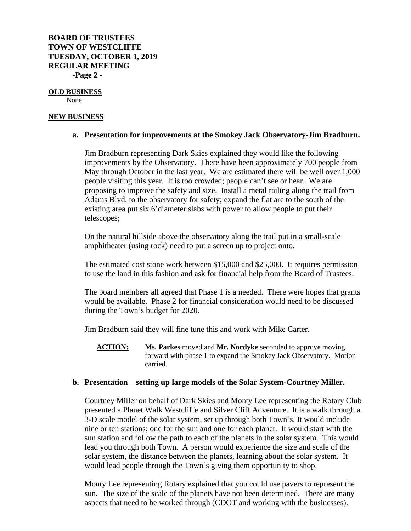# **BOARD OF TRUSTEES TOWN OF WESTCLIFFE TUESDAY, OCTOBER 1, 2019 REGULAR MEETING -Page 2 -**

# **OLD BUSINESS**

None

# **NEW BUSINESS**

# **a. Presentation for improvements at the Smokey Jack Observatory-Jim Bradburn.**

Jim Bradburn representing Dark Skies explained they would like the following improvements by the Observatory. There have been approximately 700 people from May through October in the last year. We are estimated there will be well over 1,000 people visiting this year. It is too crowded; people can't see or hear. We are proposing to improve the safety and size. Install a metal railing along the trail from Adams Blvd. to the observatory for safety; expand the flat are to the south of the existing area put six 6'diameter slabs with power to allow people to put their telescopes;

On the natural hillside above the observatory along the trail put in a small-scale amphitheater (using rock) need to put a screen up to project onto.

The estimated cost stone work between \$15,000 and \$25,000. It requires permission to use the land in this fashion and ask for financial help from the Board of Trustees.

The board members all agreed that Phase 1 is a needed. There were hopes that grants would be available. Phase 2 for financial consideration would need to be discussed during the Town's budget for 2020.

Jim Bradburn said they will fine tune this and work with Mike Carter.

**ACTION: Ms. Parkes** moved and **Mr. Nordyke** seconded to approve moving forward with phase 1 to expand the Smokey Jack Observatory. Motion carried.

# **b. Presentation – setting up large models of the Solar System-Courtney Miller.**

Courtney Miller on behalf of Dark Skies and Monty Lee representing the Rotary Club presented a Planet Walk Westcliffe and Silver Cliff Adventure. It is a walk through a 3-D scale model of the solar system, set up through both Town's. It would include nine or ten stations; one for the sun and one for each planet. It would start with the sun station and follow the path to each of the planets in the solar system. This would lead you through both Town. A person would experience the size and scale of the solar system, the distance between the planets, learning about the solar system. It would lead people through the Town's giving them opportunity to shop.

Monty Lee representing Rotary explained that you could use pavers to represent the sun. The size of the scale of the planets have not been determined. There are many aspects that need to be worked through (CDOT and working with the businesses).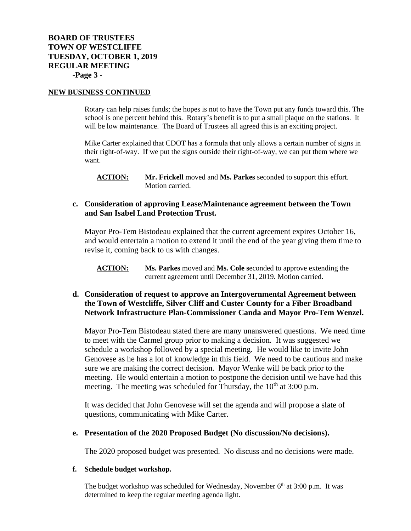#### **NEW BUSINESS CONTINUED**

Rotary can help raises funds; the hopes is not to have the Town put any funds toward this. The school is one percent behind this. Rotary's benefit is to put a small plaque on the stations. It will be low maintenance. The Board of Trustees all agreed this is an exciting project.

Mike Carter explained that CDOT has a formula that only allows a certain number of signs in their right-of-way. If we put the signs outside their right-of-way, we can put them where we want.

**ACTION: Mr. Frickell** moved and **Ms. Parkes** seconded to support this effort. Motion carried.

# **c. Consideration of approving Lease/Maintenance agreement between the Town and San Isabel Land Protection Trust.**

Mayor Pro-Tem Bistodeau explained that the current agreement expires October 16, and would entertain a motion to extend it until the end of the year giving them time to revise it, coming back to us with changes.

**ACTION: Ms. Parkes** moved and **Ms. Cole s**econded to approve extending the current agreement until December 31, 2019. Motion carried.

# **d. Consideration of request to approve an Intergovernmental Agreement between the Town of Westcliffe, Silver Cliff and Custer County for a Fiber Broadband Network Infrastructure Plan-Commissioner Canda and Mayor Pro-Tem Wenzel.**

Mayor Pro-Tem Bistodeau stated there are many unanswered questions. We need time to meet with the Carmel group prior to making a decision. It was suggested we schedule a workshop followed by a special meeting. He would like to invite John Genovese as he has a lot of knowledge in this field. We need to be cautious and make sure we are making the correct decision. Mayor Wenke will be back prior to the meeting. He would entertain a motion to postpone the decision until we have had this meeting. The meeting was scheduled for Thursday, the  $10<sup>th</sup>$  at  $3:00$  p.m.

It was decided that John Genovese will set the agenda and will propose a slate of questions, communicating with Mike Carter.

## **e. Presentation of the 2020 Proposed Budget (No discussion/No decisions).**

The 2020 proposed budget was presented. No discuss and no decisions were made.

#### **f. Schedule budget workshop.**

The budget workshop was scheduled for Wednesday, November  $6<sup>th</sup>$  at 3:00 p.m. It was determined to keep the regular meeting agenda light.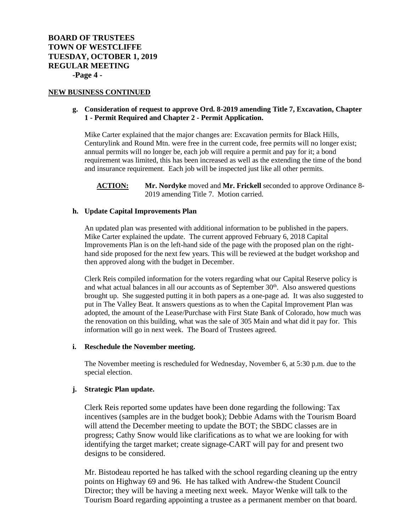#### **NEW BUSINESS CONTINUED**

## **g. Consideration of request to approve Ord. 8-2019 amending Title 7, Excavation, Chapter 1 - Permit Required and Chapter 2 - Permit Application.**

Mike Carter explained that the major changes are: Excavation permits for Black Hills, Centurylink and Round Mtn. were free in the current code, free permits will no longer exist; annual permits will no longer be, each job will require a permit and pay for it; a bond requirement was limited, this has been increased as well as the extending the time of the bond and insurance requirement. Each job will be inspected just like all other permits.

**ACTION: Mr. Nordyke** moved and **Mr. Frickell** seconded to approve Ordinance 8- 2019 amending Title 7. Motion carried.

## **h. Update Capital Improvements Plan**

An updated plan was presented with additional information to be published in the papers. Mike Carter explained the update. The current approved February 6, 2018 Capital Improvements Plan is on the left-hand side of the page with the proposed plan on the righthand side proposed for the next few years. This will be reviewed at the budget workshop and then approved along with the budget in December.

Clerk Reis compiled information for the voters regarding what our Capital Reserve policy is and what actual balances in all our accounts as of September  $30<sup>th</sup>$ . Also answered questions brought up. She suggested putting it in both papers as a one-page ad. It was also suggested to put in The Valley Beat. It answers questions as to when the Capital Improvement Plan was adopted, the amount of the Lease/Purchase with First State Bank of Colorado, how much was the renovation on this building, what was the sale of 305 Main and what did it pay for. This information will go in next week. The Board of Trustees agreed.

#### **i. Reschedule the November meeting.**

The November meeting is rescheduled for Wednesday, November 6, at 5:30 p.m. due to the special election.

#### **j. Strategic Plan update.**

Clerk Reis reported some updates have been done regarding the following: Tax incentives (samples are in the budget book); Debbie Adams with the Tourism Board will attend the December meeting to update the BOT; the SBDC classes are in progress; Cathy Snow would like clarifications as to what we are looking for with identifying the target market; create signage-CART will pay for and present two designs to be considered.

Mr. Bistodeau reported he has talked with the school regarding cleaning up the entry points on Highway 69 and 96. He has talked with Andrew-the Student Council Director; they will be having a meeting next week. Mayor Wenke will talk to the Tourism Board regarding appointing a trustee as a permanent member on that board.